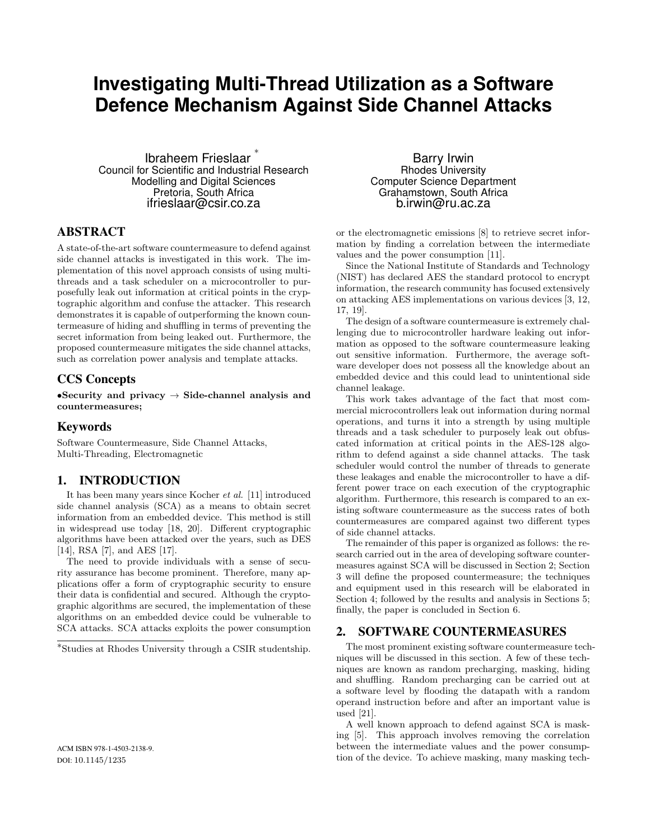# **Investigating Multi-Thread Utilization as a Software Defence Mechanism Against Side Channel Attacks**

Ibraheem Frieslaar ∗ Council for Scientific and Industrial Research Modelling and Digital Sciences Pretoria, South Africa ifrieslaar@csir.co.za

# ABSTRACT

A state-of-the-art software countermeasure to defend against side channel attacks is investigated in this work. The implementation of this novel approach consists of using multithreads and a task scheduler on a microcontroller to purposefully leak out information at critical points in the cryptographic algorithm and confuse the attacker. This research demonstrates it is capable of outperforming the known countermeasure of hiding and shuffling in terms of preventing the secret information from being leaked out. Furthermore, the proposed countermeasure mitigates the side channel attacks, such as correlation power analysis and template attacks.

# CCS Concepts

•Security and privacy  $\rightarrow$  Side-channel analysis and countermeasures;

# Keywords

Software Countermeasure, Side Channel Attacks, Multi-Threading, Electromagnetic

# 1. INTRODUCTION

It has been many years since Kocher et al. [11] introduced side channel analysis (SCA) as a means to obtain secret information from an embedded device. This method is still in widespread use today [18, 20]. Different cryptographic algorithms have been attacked over the years, such as DES [14], RSA [7], and AES [17].

The need to provide individuals with a sense of security assurance has become prominent. Therefore, many applications offer a form of cryptographic security to ensure their data is confidential and secured. Although the cryptographic algorithms are secured, the implementation of these algorithms on an embedded device could be vulnerable to SCA attacks. SCA attacks exploits the power consumption

∗ Studies at Rhodes University through a CSIR studentship.

Barry Irwin Rhodes University Computer Science Department Grahamstown, South Africa b.irwin@ru.ac.za

or the electromagnetic emissions [8] to retrieve secret information by finding a correlation between the intermediate values and the power consumption [11].

Since the National Institute of Standards and Technology (NIST) has declared AES the standard protocol to encrypt information, the research community has focused extensively on attacking AES implementations on various devices [3, 12, 17, 19].

The design of a software countermeasure is extremely challenging due to microcontroller hardware leaking out information as opposed to the software countermeasure leaking out sensitive information. Furthermore, the average software developer does not possess all the knowledge about an embedded device and this could lead to unintentional side channel leakage.

This work takes advantage of the fact that most commercial microcontrollers leak out information during normal operations, and turns it into a strength by using multiple threads and a task scheduler to purposely leak out obfuscated information at critical points in the AES-128 algorithm to defend against a side channel attacks. The task scheduler would control the number of threads to generate these leakages and enable the microcontroller to have a different power trace on each execution of the cryptographic algorithm. Furthermore, this research is compared to an existing software countermeasure as the success rates of both countermeasures are compared against two different types of side channel attacks.

The remainder of this paper is organized as follows: the research carried out in the area of developing software countermeasures against SCA will be discussed in Section 2; Section 3 will define the proposed countermeasure; the techniques and equipment used in this research will be elaborated in Section 4; followed by the results and analysis in Sections 5; finally, the paper is concluded in Section 6.

# 2. SOFTWARE COUNTERMEASURES

The most prominent existing software countermeasure techniques will be discussed in this section. A few of these techniques are known as random precharging, masking, hiding and shuffling. Random precharging can be carried out at a software level by flooding the datapath with a random operand instruction before and after an important value is used [21].

A well known approach to defend against SCA is masking [5]. This approach involves removing the correlation between the intermediate values and the power consumption of the device. To achieve masking, many masking tech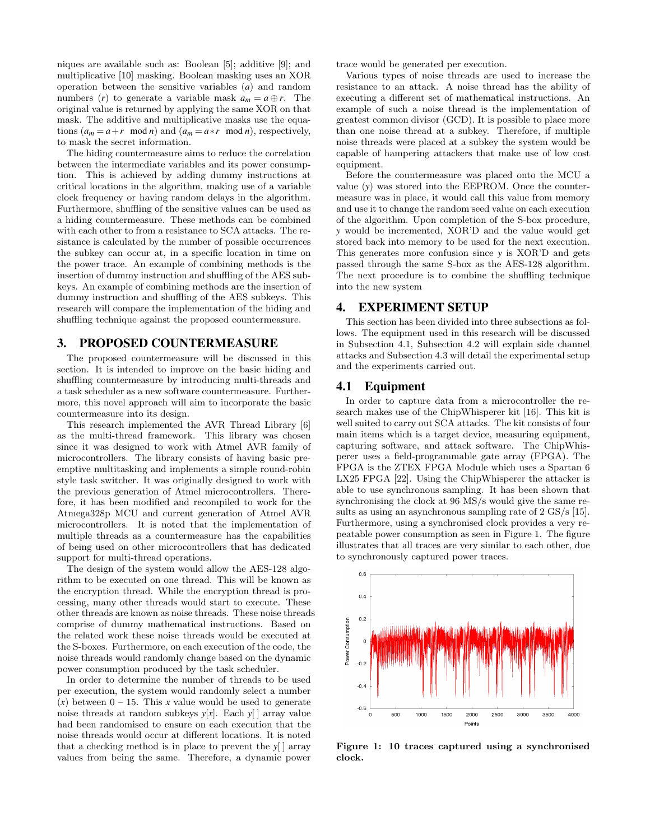niques are available such as: Boolean [5]; additive [9]; and multiplicative [10] masking. Boolean masking uses an XOR operation between the sensitive variables (*a*) and random numbers (*r*) to generate a variable mask  $a_m = a \oplus r$ . The original value is returned by applying the same XOR on that mask. The additive and multiplicative masks use the equations  $(a_m = a + r \mod n)$  and  $(a_m = a * r \mod n)$ , respectively, to mask the secret information.

The hiding countermeasure aims to reduce the correlation between the intermediate variables and its power consumption. This is achieved by adding dummy instructions at critical locations in the algorithm, making use of a variable clock frequency or having random delays in the algorithm. Furthermore, shuffling of the sensitive values can be used as a hiding countermeasure. These methods can be combined with each other to from a resistance to SCA attacks. The resistance is calculated by the number of possible occurrences the subkey can occur at, in a specific location in time on the power trace. An example of combining methods is the insertion of dummy instruction and shuffling of the AES subkeys. An example of combining methods are the insertion of dummy instruction and shuffling of the AES subkeys. This research will compare the implementation of the hiding and shuffling technique against the proposed countermeasure.

# 3. PROPOSED COUNTERMEASURE

The proposed countermeasure will be discussed in this section. It is intended to improve on the basic hiding and shuffling countermeasure by introducing multi-threads and a task scheduler as a new software countermeasure. Furthermore, this novel approach will aim to incorporate the basic countermeasure into its design.

This research implemented the AVR Thread Library [6] as the multi-thread framework. This library was chosen since it was designed to work with Atmel AVR family of microcontrollers. The library consists of having basic preemptive multitasking and implements a simple round-robin style task switcher. It was originally designed to work with the previous generation of Atmel microcontrollers. Therefore, it has been modified and recompiled to work for the Atmega328p MCU and current generation of Atmel AVR microcontrollers. It is noted that the implementation of multiple threads as a countermeasure has the capabilities of being used on other microcontrollers that has dedicated support for multi-thread operations.

The design of the system would allow the AES-128 algorithm to be executed on one thread. This will be known as the encryption thread. While the encryption thread is processing, many other threads would start to execute. These other threads are known as noise threads. These noise threads comprise of dummy mathematical instructions. Based on the related work these noise threads would be executed at the S-boxes. Furthermore, on each execution of the code, the noise threads would randomly change based on the dynamic power consumption produced by the task scheduler.

In order to determine the number of threads to be used per execution, the system would randomly select a number  $(x)$  between  $0 - 15$ . This *x* value would be used to generate noise threads at random subkeys *y*[*x*]. Each *y*[ ] array value had been randomised to ensure on each execution that the noise threads would occur at different locations. It is noted that a checking method is in place to prevent the *y*[ ] array values from being the same. Therefore, a dynamic power trace would be generated per execution.

Various types of noise threads are used to increase the resistance to an attack. A noise thread has the ability of executing a different set of mathematical instructions. An example of such a noise thread is the implementation of greatest common divisor (GCD). It is possible to place more than one noise thread at a subkey. Therefore, if multiple noise threads were placed at a subkey the system would be capable of hampering attackers that make use of low cost equipment.

Before the countermeasure was placed onto the MCU a value (*y*) was stored into the EEPROM. Once the countermeasure was in place, it would call this value from memory and use it to change the random seed value on each execution of the algorithm. Upon completion of the S-box procedure, *y* would be incremented, XOR'D and the value would get stored back into memory to be used for the next execution. This generates more confusion since *y* is XOR'D and gets passed through the same S-box as the AES-128 algorithm. The next procedure is to combine the shuffling technique into the new system

# 4. EXPERIMENT SETUP

This section has been divided into three subsections as follows. The equipment used in this research will be discussed in Subsection 4.1, Subsection 4.2 will explain side channel attacks and Subsection 4.3 will detail the experimental setup and the experiments carried out.

#### 4.1 Equipment

In order to capture data from a microcontroller the research makes use of the ChipWhisperer kit [16]. This kit is well suited to carry out SCA attacks. The kit consists of four main items which is a target device, measuring equipment, capturing software, and attack software. The ChipWhisperer uses a field-programmable gate array (FPGA). The FPGA is the ZTEX FPGA Module which uses a Spartan 6 LX25 FPGA [22]. Using the ChipWhisperer the attacker is able to use synchronous sampling. It has been shown that synchronising the clock at 96 MS/s would give the same results as using an asynchronous sampling rate of 2 GS/s [15]. Furthermore, using a synchronised clock provides a very repeatable power consumption as seen in Figure 1. The figure illustrates that all traces are very similar to each other, due to synchronously captured power traces.



Figure 1: 10 traces captured using a synchronised clock.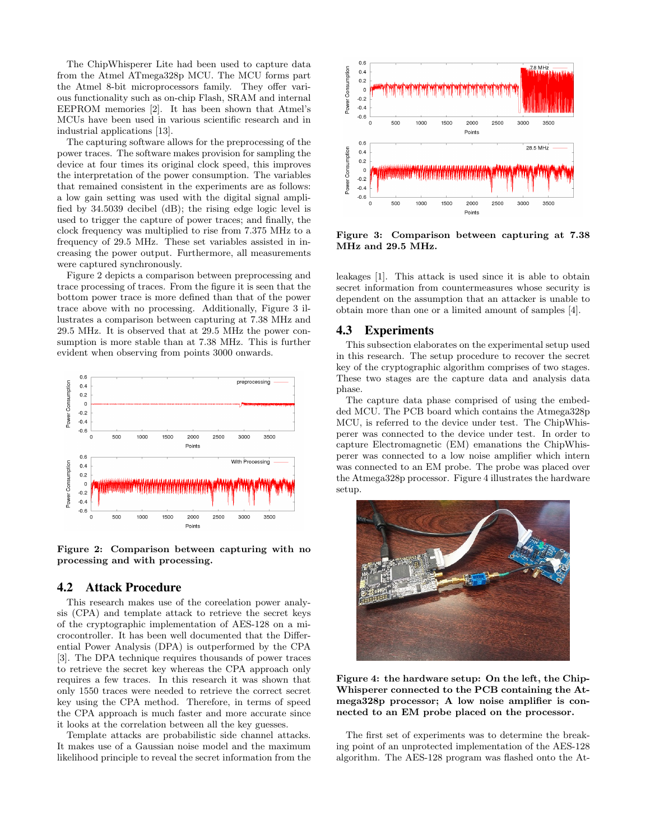The ChipWhisperer Lite had been used to capture data from the Atmel ATmega328p MCU. The MCU forms part the Atmel 8-bit microprocessors family. They offer various functionality such as on-chip Flash, SRAM and internal EEPROM memories [2]. It has been shown that Atmel's MCUs have been used in various scientific research and in industrial applications [13].

The capturing software allows for the preprocessing of the power traces. The software makes provision for sampling the device at four times its original clock speed, this improves the interpretation of the power consumption. The variables that remained consistent in the experiments are as follows: a low gain setting was used with the digital signal amplified by 34.5039 decibel (dB); the rising edge logic level is used to trigger the capture of power traces; and finally, the clock frequency was multiplied to rise from 7.375 MHz to a frequency of 29.5 MHz. These set variables assisted in increasing the power output. Furthermore, all measurements were captured synchronously.

Figure 2 depicts a comparison between preprocessing and trace processing of traces. From the figure it is seen that the bottom power trace is more defined than that of the power trace above with no processing. Additionally, Figure 3 illustrates a comparison between capturing at 7.38 MHz and 29.5 MHz. It is observed that at 29.5 MHz the power consumption is more stable than at 7.38 MHz. This is further evident when observing from points 3000 onwards.



Figure 2: Comparison between capturing with no processing and with processing.

# 4.2 Attack Procedure

This research makes use of the coreelation power analysis (CPA) and template attack to retrieve the secret keys of the cryptographic implementation of AES-128 on a microcontroller. It has been well documented that the Differential Power Analysis (DPA) is outperformed by the CPA [3]. The DPA technique requires thousands of power traces to retrieve the secret key whereas the CPA approach only requires a few traces. In this research it was shown that only 1550 traces were needed to retrieve the correct secret key using the CPA method. Therefore, in terms of speed the CPA approach is much faster and more accurate since it looks at the correlation between all the key guesses.

Template attacks are probabilistic side channel attacks. It makes use of a Gaussian noise model and the maximum likelihood principle to reveal the secret information from the



Figure 3: Comparison between capturing at 7.38 MHz and 29.5 MHz.

leakages [1]. This attack is used since it is able to obtain secret information from countermeasures whose security is dependent on the assumption that an attacker is unable to obtain more than one or a limited amount of samples [4].

## 4.3 Experiments

This subsection elaborates on the experimental setup used in this research. The setup procedure to recover the secret key of the cryptographic algorithm comprises of two stages. These two stages are the capture data and analysis data phase.

The capture data phase comprised of using the embedded MCU. The PCB board which contains the Atmega328p MCU, is referred to the device under test. The ChipWhisperer was connected to the device under test. In order to capture Electromagnetic (EM) emanations the ChipWhisperer was connected to a low noise amplifier which intern was connected to an EM probe. The probe was placed over the Atmega328p processor. Figure 4 illustrates the hardware setup.



Figure 4: the hardware setup: On the left, the Chip-Whisperer connected to the PCB containing the Atmega328p processor; A low noise amplifier is connected to an EM probe placed on the processor.

The first set of experiments was to determine the breaking point of an unprotected implementation of the AES-128 algorithm. The AES-128 program was flashed onto the At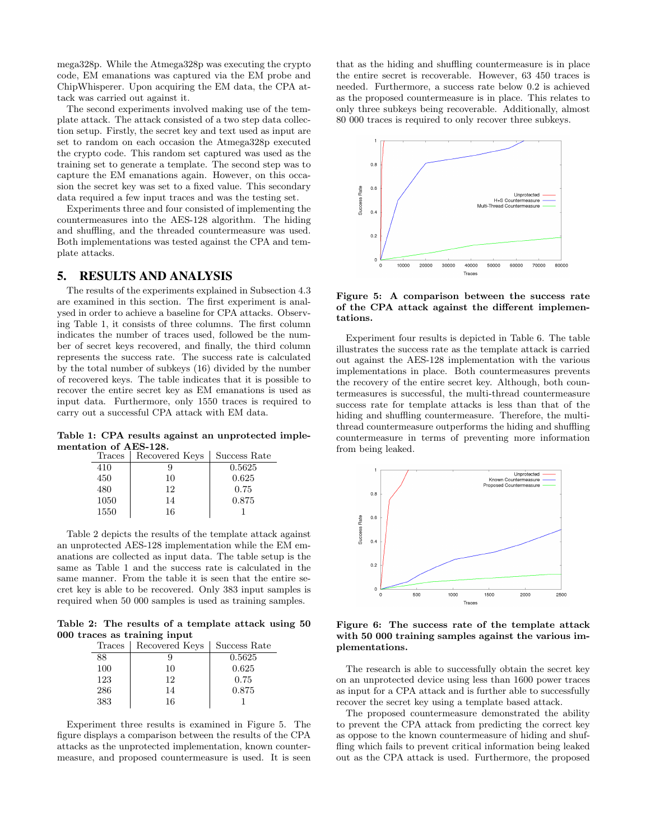mega328p. While the Atmega328p was executing the crypto code, EM emanations was captured via the EM probe and ChipWhisperer. Upon acquiring the EM data, the CPA attack was carried out against it.

The second experiments involved making use of the template attack. The attack consisted of a two step data collection setup. Firstly, the secret key and text used as input are set to random on each occasion the Atmega328p executed the crypto code. This random set captured was used as the training set to generate a template. The second step was to capture the EM emanations again. However, on this occasion the secret key was set to a fixed value. This secondary data required a few input traces and was the testing set.

Experiments three and four consisted of implementing the countermeasures into the AES-128 algorithm. The hiding and shuffling, and the threaded countermeasure was used. Both implementations was tested against the CPA and template attacks.

# 5. RESULTS AND ANALYSIS

The results of the experiments explained in Subsection 4.3 are examined in this section. The first experiment is analysed in order to achieve a baseline for CPA attacks. Observing Table 1, it consists of three columns. The first column indicates the number of traces used, followed be the number of secret keys recovered, and finally, the third column represents the success rate. The success rate is calculated by the total number of subkeys (16) divided by the number of recovered keys. The table indicates that it is possible to recover the entire secret key as EM emanations is used as input data. Furthermore, only 1550 traces is required to carry out a successful CPA attack with EM data.

Table 1: CPA results against an unprotected implementation of AES-128.

| Traces | Recovered Keys | Success Rate |
|--------|----------------|--------------|
| 410    |                | 0.5625       |
| 450    | 10             | 0.625        |
| 480    | 12             | 0.75         |
| 1050   | 14             | 0.875        |
| 1550   | 16             |              |

Table 2 depicts the results of the template attack against an unprotected AES-128 implementation while the EM emanations are collected as input data. The table setup is the same as Table 1 and the success rate is calculated in the same manner. From the table it is seen that the entire secret key is able to be recovered. Only 383 input samples is required when 50 000 samples is used as training samples.

Table 2: The results of a template attack using 50 000 traces as training input

| Traces | Recovered Keys | Success Rate |
|--------|----------------|--------------|
| 88     |                | 0.5625       |
| 100    | 10             | 0.625        |
| 123    | 12             | 0.75         |
| 286    | 14             | 0.875        |
| 383    | 16             |              |

Experiment three results is examined in Figure 5. The figure displays a comparison between the results of the CPA attacks as the unprotected implementation, known countermeasure, and proposed countermeasure is used. It is seen that as the hiding and shuffling countermeasure is in place the entire secret is recoverable. However, 63 450 traces is needed. Furthermore, a success rate below 0.2 is achieved as the proposed countermeasure is in place. This relates to only three subkeys being recoverable. Additionally, almost 80 000 traces is required to only recover three subkeys.



#### Figure 5: A comparison between the success rate of the CPA attack against the different implementations.

Experiment four results is depicted in Table 6. The table illustrates the success rate as the template attack is carried out against the AES-128 implementation with the various implementations in place. Both countermeasures prevents the recovery of the entire secret key. Although, both countermeasures is successful, the multi-thread countermeasure success rate for template attacks is less than that of the hiding and shuffling countermeasure. Therefore, the multithread countermeasure outperforms the hiding and shuffling countermeasure in terms of preventing more information from being leaked.



Figure 6: The success rate of the template attack with 50 000 training samples against the various implementations.

The research is able to successfully obtain the secret key on an unprotected device using less than 1600 power traces as input for a CPA attack and is further able to successfully recover the secret key using a template based attack.

The proposed countermeasure demonstrated the ability to prevent the CPA attack from predicting the correct key as oppose to the known countermeasure of hiding and shuffling which fails to prevent critical information being leaked out as the CPA attack is used. Furthermore, the proposed